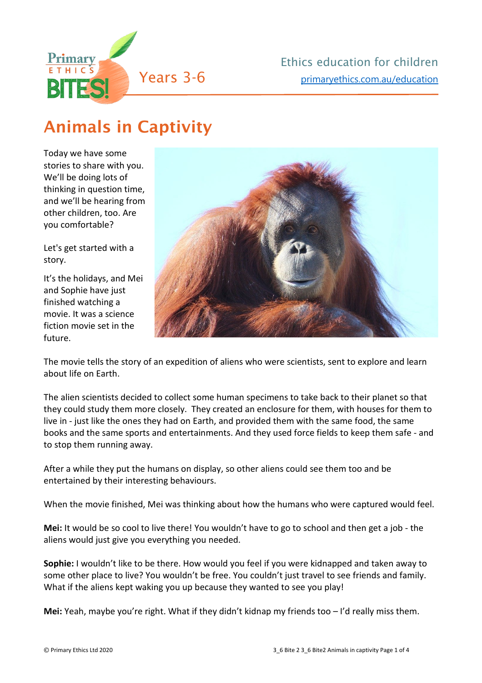

## Animals in Captivity

Today we have some stories to share with you. We'll be doing lots of thinking in question time, and we'll be hearing from other children, too. Are you comfortable?

Let's get started with a story.

It's the holidays, and Mei and Sophie have just finished watching a movie. It was a science fiction movie set in the future.



The movie tells the story of an expedition of aliens who were scientists, sent to explore and learn about life on Earth.

The alien scientists decided to collect some human specimens to take back to their planet so that they could study them more closely. They created an enclosure for them, with houses for them to live in - just like the ones they had on Earth, and provided them with the same food, the same books and the same sports and entertainments. And they used force fields to keep them safe - and to stop them running away.

After a while they put the humans on display, so other aliens could see them too and be entertained by their interesting behaviours.

When the movie finished, Mei was thinking about how the humans who were captured would feel.

**Mei:** It would be so cool to live there! You wouldn't have to go to school and then get a job - the aliens would just give you everything you needed.

**Sophie:** I wouldn't like to be there. How would you feel if you were kidnapped and taken away to some other place to live? You wouldn't be free. You couldn't just travel to see friends and family. What if the aliens kept waking you up because they wanted to see you play!

**Mei:** Yeah, maybe you're right. What if they didn't kidnap my friends too – I'd really miss them.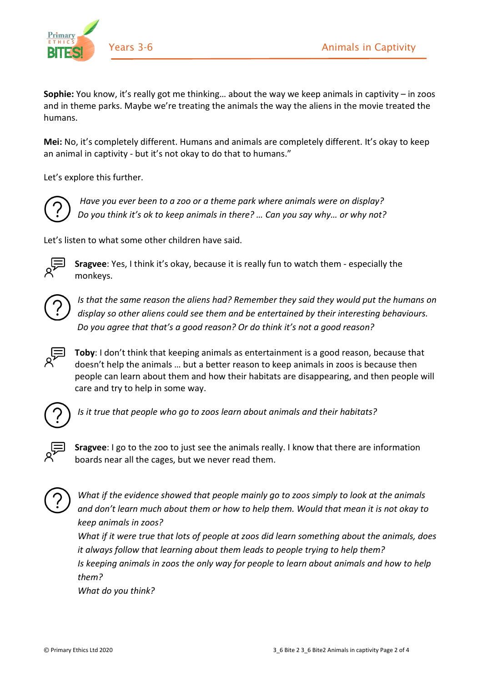

**Sophie:** You know, it's really got me thinking… about the way we keep animals in captivity – in zoos and in theme parks. Maybe we're treating the animals the way the aliens in the movie treated the humans.

**Mei:** No, it's completely different. Humans and animals are completely different. It's okay to keep an animal in captivity - but it's not okay to do that to humans."

Let's explore this further.



*Have you ever been to a zoo or a theme park where animals were on display? Do you think it's ok to keep animals in there? … Can you say why… or why not?* 

Let's listen to what some other children have said.



**Sragvee**: Yes, I think it's okay, because it is really fun to watch them - especially the monkeys.



*Is that the same reason the aliens had? Remember they said they would put the humans on display so other aliens could see them and be entertained by their interesting behaviours. Do you agree that that's a good reason? Or do think it's not a good reason?* 



**Toby**: I don't think that keeping animals as entertainment is a good reason, because that doesn't help the animals … but a better reason to keep animals in zoos is because then people can learn about them and how their habitats are disappearing, and then people will care and try to help in some way.



*Is it true that people who go to zoos learn about animals and their habitats?* 



**Sragvee**: I go to the zoo to just see the animals really. I know that there are information boards near all the cages, but we never read them.



*What if the evidence showed that people mainly go to zoos simply to look at the animals and don't learn much about them or how to help them. Would that mean it is not okay to keep animals in zoos?*

*What if it were true that lots of people at zoos did learn something about the animals, does it always follow that learning about them leads to people trying to help them? Is keeping animals in zoos the only way for people to learn about animals and how to help them?*

*What do you think?*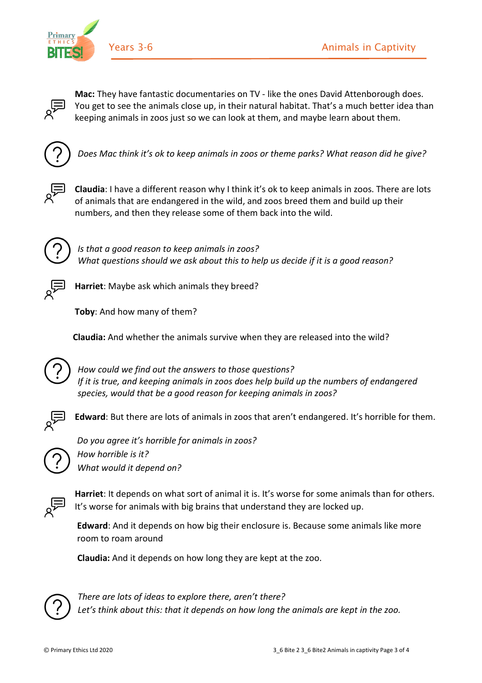

**Mac:** They have fantastic documentaries on TV - like the ones David Attenborough does. You get to see the animals close up, in their natural habitat. That's a much better idea than keeping animals in zoos just so we can look at them, and maybe learn about them.



*Does Mac think it's ok to keep animals in zoos or theme parks? What reason did he give?* 



**Claudia**: I have a different reason why I think it's ok to keep animals in zoos. There are lots of animals that are endangered in the wild, and zoos breed them and build up their numbers, and then they release some of them back into the wild.



*Is that a good reason to keep animals in zoos? What questions should we ask about this to help us decide if it is a good reason?* 



**Harriet**: Maybe ask which animals they breed?

**Toby**: And how many of them?

**Claudia:** And whether the animals survive when they are released into the wild?



*How could we find out the answers to those questions? If it is true, and keeping animals in zoos does help build up the numbers of endangered species, would that be a good reason for keeping animals in zoos?*



**Edward**: But there are lots of animals in zoos that aren't endangered. It's horrible for them.



*Do you agree it's horrible for animals in zoos? How horrible is it? What would it depend on?* 



**Harriet**: It depends on what sort of animal it is. It's worse for some animals than for others. It's worse for animals with big brains that understand they are locked up.

**Edward**: And it depends on how big their enclosure is. Because some animals like more room to roam around

 **Claudia:** And it depends on how long they are kept at the zoo.



*There are lots of ideas to explore there, aren't there? Let's think about this: that it depends on how long the animals are kept in the zoo.*